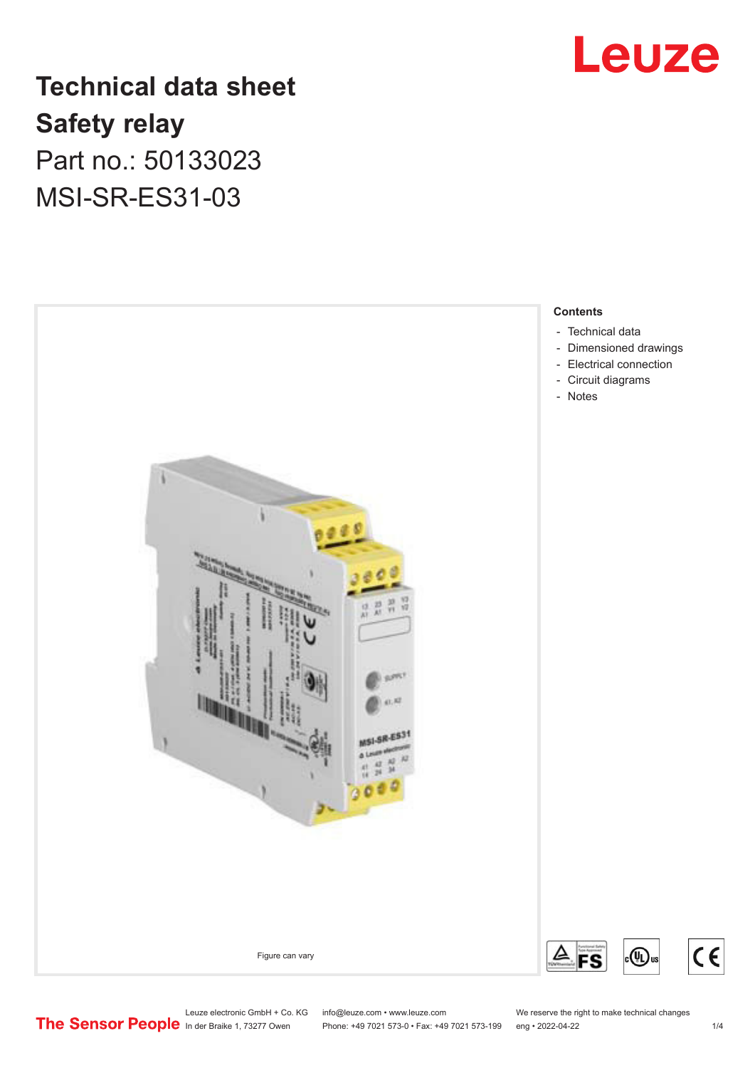

## **Technical data sheet Safety relay** Part no.: 50133023 MSI-SR-ES31-03



**Contents**

- [Technical data](#page-1-0)
- [Dimensioned drawings](#page-2-0)
- [Electrical connection](#page-2-0)
	- [Circuit diagrams](#page-3-0)
- 

Leuze electronic GmbH + Co. KG info@leuze.com • www.leuze.com We reserve the right to make technical changes<br>
The Sensor People in der Braike 1, 73277 Owen Phone: +49 7021 573-0 • Fax: +49 7021 573-199 eng • 2022-04-22 Phone: +49 7021 573-0 • Fax: +49 7021 573-199 eng • 2022-04-22

(h)

l IIS

 $c \in$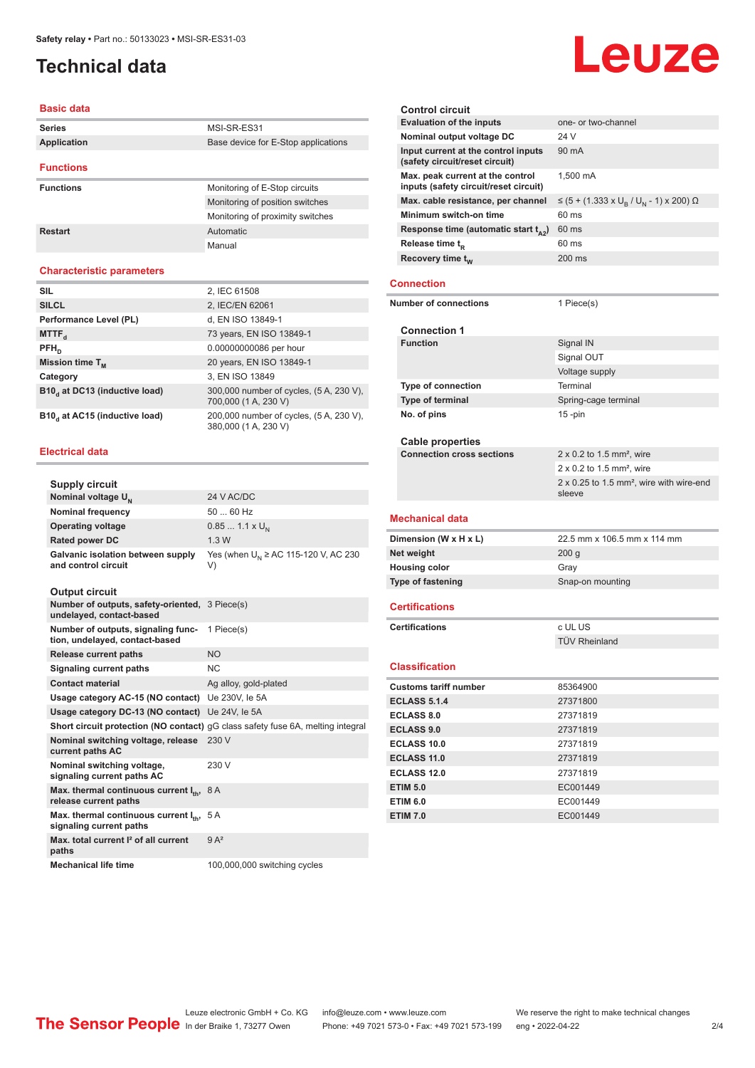## <span id="page-1-0"></span>**Technical data**

#### **Basic data**

| <b>Series</b>      | MSI-SR-ES31                         |
|--------------------|-------------------------------------|
| <b>Application</b> | Base device for E-Stop applications |
|                    |                                     |
| <b>Functions</b>   |                                     |
| <b>Functions</b>   | Monitoring of E-Stop circuits       |
|                    | Monitoring of position switches     |
|                    | Monitoring of proximity switches    |
| <b>Restart</b>     | Automatic                           |
|                    | Manual                              |
|                    |                                     |

#### **Characteristic parameters**

| <b>SIL</b>                                             | 2, IEC 61508                                                    |
|--------------------------------------------------------|-----------------------------------------------------------------|
| <b>SILCL</b>                                           | 2, IEC/EN 62061                                                 |
| Performance Level (PL)                                 | d, EN ISO 13849-1                                               |
| MTTF <sub>d</sub>                                      | 73 years, EN ISO 13849-1                                        |
| $PFH_n$                                                | 0.00000000086 per hour                                          |
| Mission time T <sub>M</sub>                            | 20 years, EN ISO 13849-1                                        |
| Category                                               | 3, EN ISO 13849                                                 |
| B <sub>10</sub> , at DC <sub>13</sub> (inductive load) | 300,000 number of cycles, (5 A, 230 V),<br>700,000 (1 A, 230 V) |
| B10 <sub>d</sub> at AC15 (inductive load)              | 200,000 number of cycles, (5 A, 230 V),<br>380,000 (1 A, 230 V) |

#### **Electrical data**

| <b>Supply circuit</b>                                                        |                                                                                        |
|------------------------------------------------------------------------------|----------------------------------------------------------------------------------------|
| Nominal voltage U <sub>N</sub>                                               | 24 V AC/DC                                                                             |
| Nominal frequency                                                            | $5060$ Hz                                                                              |
| <b>Operating voltage</b>                                                     | $0.851.1 \times U_{N}$                                                                 |
| <b>Rated power DC</b>                                                        | 1.3W                                                                                   |
| <b>Galvanic isolation between supply</b><br>and control circuit              | Yes (when $U_{N}$ ≥ AC 115-120 V, AC 230<br>V)                                         |
| <b>Output circuit</b>                                                        |                                                                                        |
| Number of outputs, safety-oriented, 3 Piece(s)<br>undelayed, contact-based   |                                                                                        |
| Number of outputs, signaling func-<br>tion, undelayed, contact-based         | 1 Piece(s)                                                                             |
| <b>Release current paths</b>                                                 | <b>NO</b>                                                                              |
| Signaling current paths                                                      | NC                                                                                     |
| <b>Contact material</b>                                                      | Ag alloy, gold-plated                                                                  |
| Usage category AC-15 (NO contact) Ue 230V, le 5A                             |                                                                                        |
| Usage category DC-13 (NO contact) Ue 24V, le 5A                              |                                                                                        |
|                                                                              | <b>Short circuit protection (NO contact)</b> gG class safety fuse 6A, melting integral |
| Nominal switching voltage, release<br>current paths AC                       | 230 V                                                                                  |
| Nominal switching voltage,<br>signaling current paths AC                     | 230 V                                                                                  |
| Max. thermal continuous current I <sub>th</sub> ,<br>release current paths   | 8 A                                                                                    |
| Max. thermal continuous current I <sub>th</sub> ,<br>signaling current paths | 5 A                                                                                    |
| Max, total current <sup>2</sup> of all current<br>paths                      | $9A^2$                                                                                 |
| <b>Mechanical life time</b>                                                  | 100,000,000 switching cycles                                                           |

#### **Control circuit Evaluation of the inputs** one- or two-channel **Nominal output voltage DC** 24 V **Input current at the control inputs (safety circuit/reset circuit)** 90 mA **Max. peak current at the control inputs (safety circuit/reset circuit)** 1,500 mA Max. cable resistance, per channel , / U<sub>N</sub> - 1) x 200) Ω **Minimum switch-on time** 60 ms **Response time (automatic start t<sub>A2</sub>)** 60 ms **Release time t<sub>R</sub>** 60 ms **Recovery time t<sub>w</sub> 200 ms Connection Number of connections** 1 Piece(s) **Connection 1 Signal IN** Signal OUT Voltage supply **Type of connection** Terminal **Type of terminal** Spring-cage terminal **No. of pins** 15 -pin **Cable properties Connection cross sections** 2 x 0.2 to 1.5 mm<sup>2</sup>, wire 2 x 0.2 to 1.5 mm<sup>2</sup>, wire 2 x 0.25 to 1.5 mm², wire with wire-end sleeve **Mechanical data Dimension (W x H x L)** 22.5 mm x 106.5 mm x 114 mm **Net weight** 200 g **Housing color** Gray **Type of fastening** Snap-on mounting **Certifications Certifications** c UL US TÜV Rheinland **Classification Customs tariff number** 85364900 **ECLASS 5.1.4** 27371800 **ECLASS 8.0** 27371819 **ECLASS 9.0** 27371819 **ECLASS 10.0** 27371819 **ECLASS 11.0** 27371819 **ECLASS 12.0** 27371819

**ETIM 5.0** EC001449 **ETIM 6.0** EC001449 **ETIM 7.0** EC001449

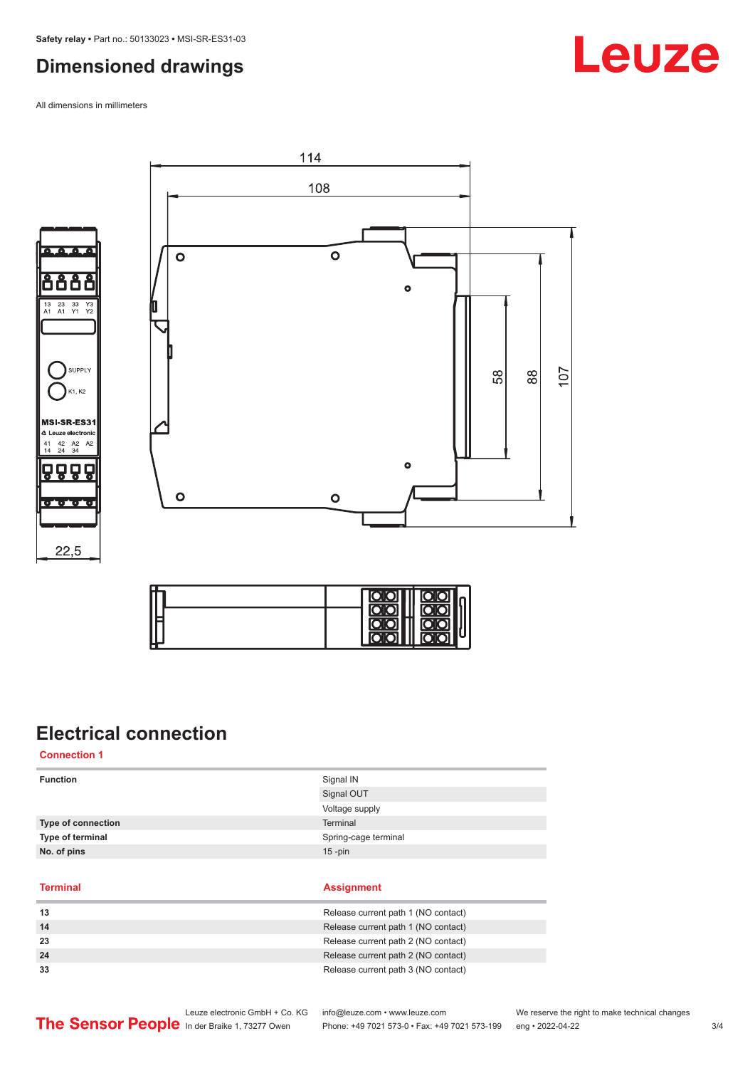## <span id="page-2-0"></span>**Dimensioned drawings**

All dimensions in millimeters







ĥ

 $\frac{13}{A1}$ 

 $\frac{41}{14}$ 



## **Electrical connection**

**Connection 1**

| <b>Function</b>    | Signal IN            |
|--------------------|----------------------|
|                    | Signal OUT           |
|                    | Voltage supply       |
| Type of connection | Terminal             |
| Type of terminal   | Spring-cage terminal |
| No. of pins        | $15$ -pin            |
|                    |                      |

**Terminal Assignment**

| 13 | Release current path 1 (NO contact) |
|----|-------------------------------------|
| 14 | Release current path 1 (NO contact) |
| 23 | Release current path 2 (NO contact) |
| 24 | Release current path 2 (NO contact) |
| 33 | Release current path 3 (NO contact) |